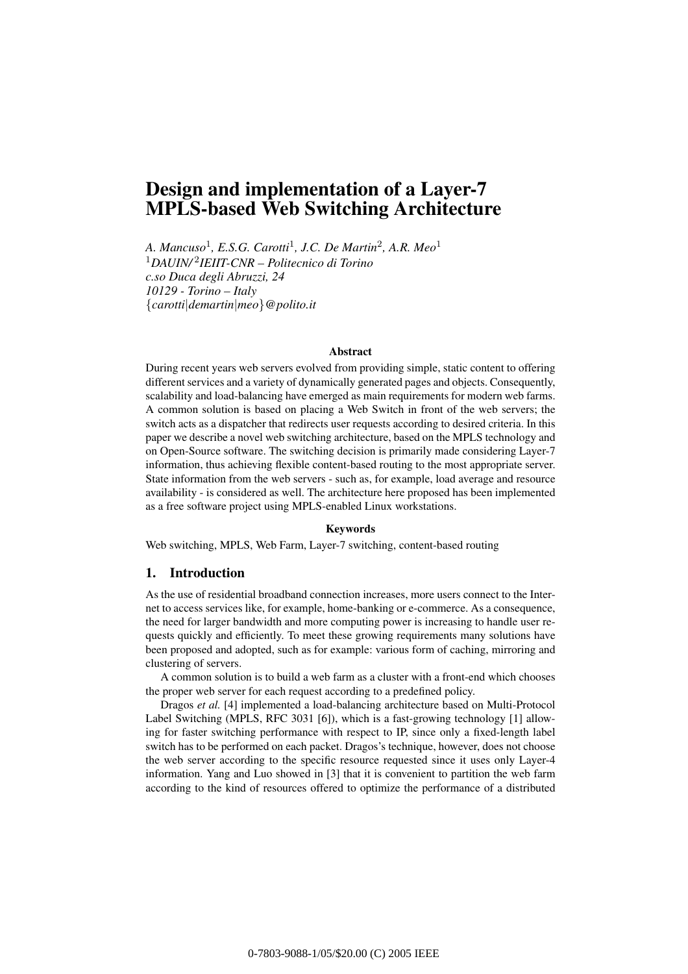# **Design and implementation of a Layer-7 MPLS-based Web Switching Architecture**

*A. Mancuso*1*, E.S.G. Carotti*1*, J.C. De Martin*2*, A.R. Meo*<sup>1</sup> <sup>1</sup>*DAUIN/* <sup>2</sup>*IEIIT-CNR – Politecnico di Torino c.so Duca degli Abruzzi, 24 10129 - Torino – Italy {carotti|demartin|meo}@polito.it*

# **Abstract**

During recent years web servers evolved from providing simple, static content to offering different services and a variety of dynamically generated pages and objects. Consequently, scalability and load-balancing have emerged as main requirements for modern web farms. A common solution is based on placing a Web Switch in front of the web servers; the switch acts as a dispatcher that redirects user requests according to desired criteria. In this paper we describe a novel web switching architecture, based on the MPLS technology and on Open-Source software. The switching decision is primarily made considering Layer-7 information, thus achieving flexible content-based routing to the most appropriate server. State information from the web servers - such as, for example, load average and resource availability - is considered as well. The architecture here proposed has been implemented as a free software project using MPLS-enabled Linux workstations.

#### **Keywords**

Web switching, MPLS, Web Farm, Layer-7 switching, content-based routing

# **1. Introduction**

As the use of residential broadband connection increases, more users connect to the Internet to access services like, for example, home-banking or e-commerce. As a consequence, the need for larger bandwidth and more computing power is increasing to handle user requests quickly and efficiently. To meet these growing requirements many solutions have been proposed and adopted, such as for example: various form of caching, mirroring and clustering of servers.

A common solution is to build a web farm as a cluster with a front-end which chooses the proper web server for each request according to a predefined policy.

Dragos *et al.* [4] implemented a load-balancing architecture based on Multi-Protocol Label Switching (MPLS, RFC 3031 [6]), which is a fast-growing technology [1] allowing for faster switching performance with respect to IP, since only a fixed-length label switch has to be performed on each packet. Dragos's technique, however, does not choose the web server according to the specific resource requested since it uses only Layer-4 information. Yang and Luo showed in [3] that it is convenient to partition the web farm according to the kind of resources offered to optimize the performance of a distributed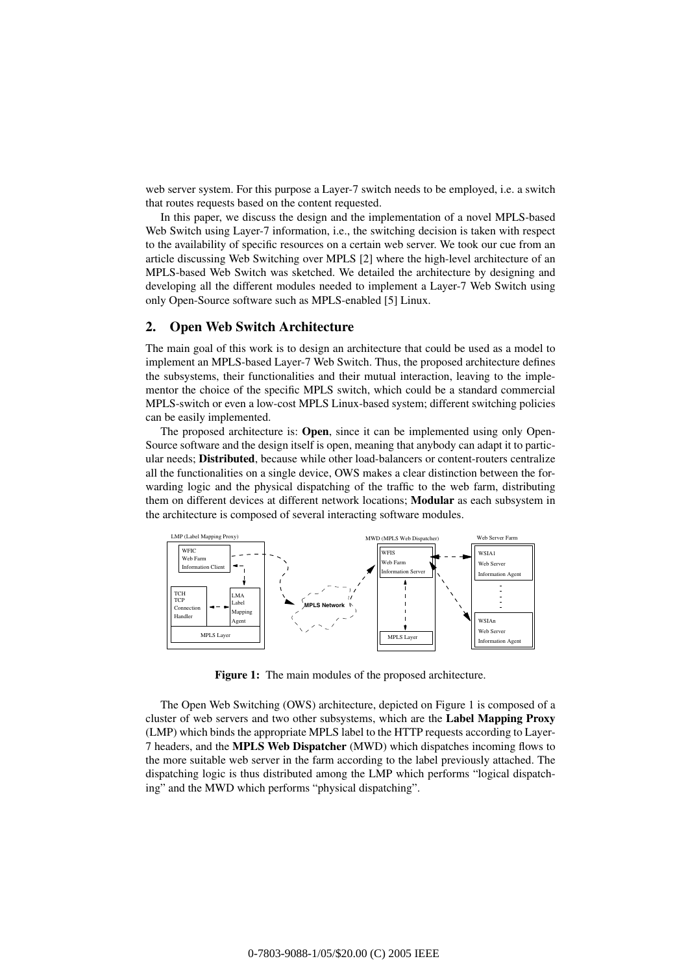web server system. For this purpose a Layer-7 switch needs to be employed, i.e. a switch that routes requests based on the content requested.

In this paper, we discuss the design and the implementation of a novel MPLS-based Web Switch using Layer-7 information, i.e., the switching decision is taken with respect to the availability of specific resources on a certain web server. We took our cue from an article discussing Web Switching over MPLS [2] where the high-level architecture of an MPLS-based Web Switch was sketched. We detailed the architecture by designing and developing all the different modules needed to implement a Layer-7 Web Switch using only Open-Source software such as MPLS-enabled [5] Linux.

# **2. Open Web Switch Architecture**

The main goal of this work is to design an architecture that could be used as a model to implement an MPLS-based Layer-7 Web Switch. Thus, the proposed architecture defines the subsystems, their functionalities and their mutual interaction, leaving to the implementor the choice of the specific MPLS switch, which could be a standard commercial MPLS-switch or even a low-cost MPLS Linux-based system; different switching policies can be easily implemented.

The proposed architecture is: **Open**, since it can be implemented using only Open-Source software and the design itself is open, meaning that anybody can adapt it to particular needs; **Distributed**, because while other load-balancers or content-routers centralize all the functionalities on a single device, OWS makes a clear distinction between the forwarding logic and the physical dispatching of the traffic to the web farm, distributing them on different devices at different network locations; **Modular** as each subsystem in the architecture is composed of several interacting software modules.



**Figure 1:** The main modules of the proposed architecture.

The Open Web Switching (OWS) architecture, depicted on Figure 1 is composed of a cluster of web servers and two other subsystems, which are the **Label Mapping Proxy** (LMP) which binds the appropriate MPLS label to the HTTP requests according to Layer-7 headers, and the **MPLS Web Dispatcher** (MWD) which dispatches incoming flows to the more suitable web server in the farm according to the label previously attached. The dispatching logic is thus distributed among the LMP which performs "logical dispatching" and the MWD which performs "physical dispatching".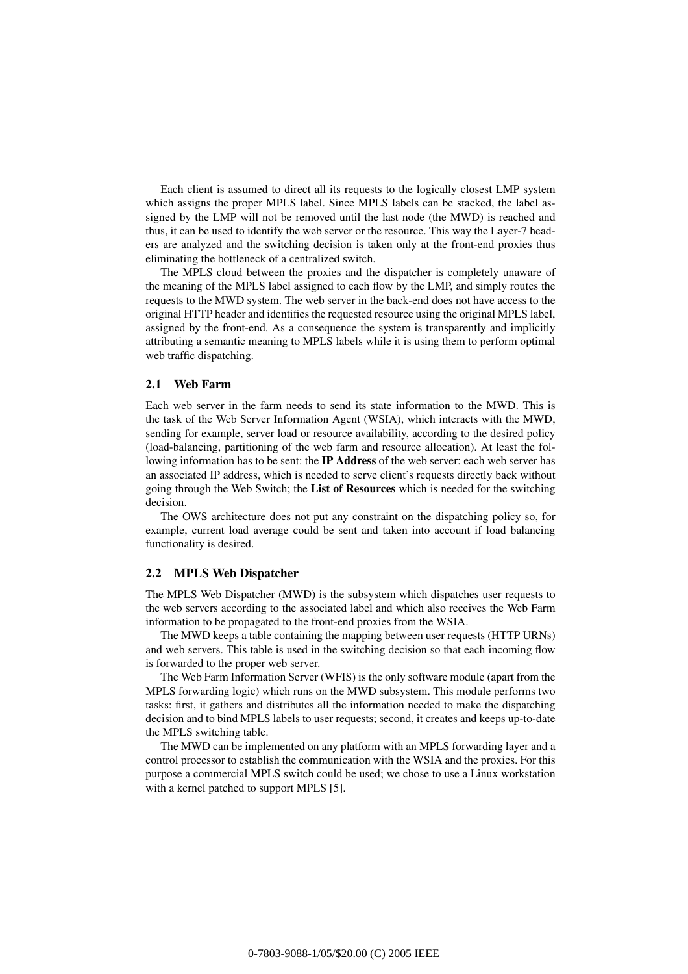Each client is assumed to direct all its requests to the logically closest LMP system which assigns the proper MPLS label. Since MPLS labels can be stacked, the label assigned by the LMP will not be removed until the last node (the MWD) is reached and thus, it can be used to identify the web server or the resource. This way the Layer-7 headers are analyzed and the switching decision is taken only at the front-end proxies thus eliminating the bottleneck of a centralized switch.

The MPLS cloud between the proxies and the dispatcher is completely unaware of the meaning of the MPLS label assigned to each flow by the LMP, and simply routes the requests to the MWD system. The web server in the back-end does not have access to the original HTTP header and identifies the requested resource using the original MPLS label, assigned by the front-end. As a consequence the system is transparently and implicitly attributing a semantic meaning to MPLS labels while it is using them to perform optimal web traffic dispatching.

# **2.1 Web Farm**

Each web server in the farm needs to send its state information to the MWD. This is the task of the Web Server Information Agent (WSIA), which interacts with the MWD, sending for example, server load or resource availability, according to the desired policy (load-balancing, partitioning of the web farm and resource allocation). At least the following information has to be sent: the **IP Address** of the web server: each web server has an associated IP address, which is needed to serve client's requests directly back without going through the Web Switch; the **List of Resources** which is needed for the switching decision.

The OWS architecture does not put any constraint on the dispatching policy so, for example, current load average could be sent and taken into account if load balancing functionality is desired.

#### **2.2 MPLS Web Dispatcher**

The MPLS Web Dispatcher (MWD) is the subsystem which dispatches user requests to the web servers according to the associated label and which also receives the Web Farm information to be propagated to the front-end proxies from the WSIA.

The MWD keeps a table containing the mapping between user requests (HTTP URNs) and web servers. This table is used in the switching decision so that each incoming flow is forwarded to the proper web server.

The Web Farm Information Server (WFIS) is the only software module (apart from the MPLS forwarding logic) which runs on the MWD subsystem. This module performs two tasks: first, it gathers and distributes all the information needed to make the dispatching decision and to bind MPLS labels to user requests; second, it creates and keeps up-to-date the MPLS switching table.

The MWD can be implemented on any platform with an MPLS forwarding layer and a control processor to establish the communication with the WSIA and the proxies. For this purpose a commercial MPLS switch could be used; we chose to use a Linux workstation with a kernel patched to support MPLS [5].